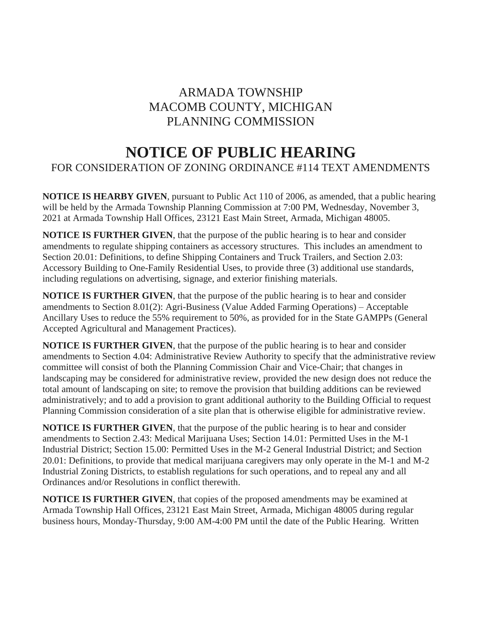## ARMADA TOWNSHIP MACOMB COUNTY, MICHIGAN PLANNING COMMISSION

## **NOTICE OF PUBLIC HEARING**

## FOR CONSIDERATION OF ZONING ORDINANCE #114 TEXT AMENDMENTS

**NOTICE IS HEARBY GIVEN**, pursuant to Public Act 110 of 2006, as amended, that a public hearing will be held by the Armada Township Planning Commission at 7:00 PM, Wednesday, November 3, 2021 at Armada Township Hall Offices, 23121 East Main Street, Armada, Michigan 48005.

**NOTICE IS FURTHER GIVEN**, that the purpose of the public hearing is to hear and consider amendments to regulate shipping containers as accessory structures. This includes an amendment to Section 20.01: Definitions, to define Shipping Containers and Truck Trailers, and Section 2.03: Accessory Building to One-Family Residential Uses, to provide three (3) additional use standards, including regulations on advertising, signage, and exterior finishing materials.

**NOTICE IS FURTHER GIVEN**, that the purpose of the public hearing is to hear and consider amendments to Section 8.01(2): Agri-Business (Value Added Farming Operations) – Acceptable Ancillary Uses to reduce the 55% requirement to 50%, as provided for in the State GAMPPs (General Accepted Agricultural and Management Practices).

**NOTICE IS FURTHER GIVEN**, that the purpose of the public hearing is to hear and consider amendments to Section 4.04: Administrative Review Authority to specify that the administrative review committee will consist of both the Planning Commission Chair and Vice-Chair; that changes in landscaping may be considered for administrative review, provided the new design does not reduce the total amount of landscaping on site; to remove the provision that building additions can be reviewed administratively; and to add a provision to grant additional authority to the Building Official to request Planning Commission consideration of a site plan that is otherwise eligible for administrative review.

**NOTICE IS FURTHER GIVEN**, that the purpose of the public hearing is to hear and consider amendments to Section 2.43: Medical Marijuana Uses; Section 14.01: Permitted Uses in the M-1 Industrial District; Section 15.00: Permitted Uses in the M-2 General Industrial District; and Section 20.01: Definitions, to provide that medical marijuana caregivers may only operate in the M-1 and M-2 Industrial Zoning Districts, to establish regulations for such operations, and to repeal any and all Ordinances and/or Resolutions in conflict therewith.

**NOTICE IS FURTHER GIVEN**, that copies of the proposed amendments may be examined at Armada Township Hall Offices, 23121 East Main Street, Armada, Michigan 48005 during regular business hours, Monday-Thursday, 9:00 AM-4:00 PM until the date of the Public Hearing. Written